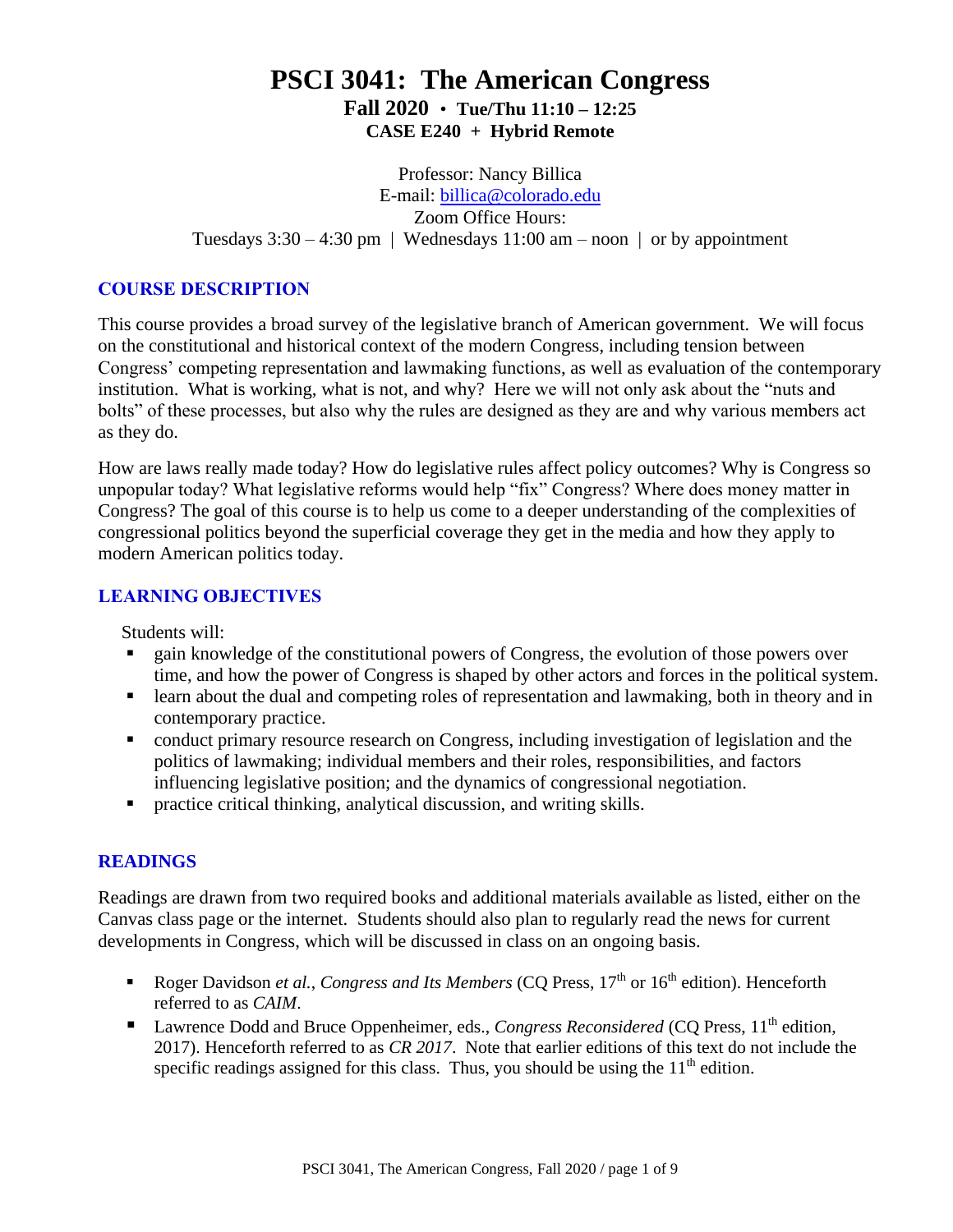# **PSCI 3041: The American Congress Fall 2020** • **Tue/Thu 11:10 – 12:25 CASE E240 + Hybrid Remote**

Professor: Nancy Billica E-mail: [billica@colorado.edu](mailto:billica@colorado.edu) Zoom Office Hours: Tuesdays  $3:30 - 4:30$  pm | Wednesdays  $11:00$  am – noon | or by appointment

#### **COURSE DESCRIPTION**

This course provides a broad survey of the legislative branch of American government. We will focus on the constitutional and historical context of the modern Congress, including tension between Congress' competing representation and lawmaking functions, as well as evaluation of the contemporary institution. What is working, what is not, and why? Here we will not only ask about the "nuts and bolts" of these processes, but also why the rules are designed as they are and why various members act as they do.

How are laws really made today? How do legislative rules affect policy outcomes? Why is Congress so unpopular today? What legislative reforms would help "fix" Congress? Where does money matter in Congress? The goal of this course is to help us come to a deeper understanding of the complexities of congressional politics beyond the superficial coverage they get in the media and how they apply to modern American politics today.

#### **LEARNING OBJECTIVES**

Students will:

- gain knowledge of the constitutional powers of Congress, the evolution of those powers over time, and how the power of Congress is shaped by other actors and forces in the political system.
- learn about the dual and competing roles of representation and lawmaking, both in theory and in contemporary practice.
- conduct primary resource research on Congress, including investigation of legislation and the politics of lawmaking; individual members and their roles, responsibilities, and factors influencing legislative position; and the dynamics of congressional negotiation.
- practice critical thinking, analytical discussion, and writing skills.

### **READINGS**

Readings are drawn from two required books and additional materials available as listed, either on the Canvas class page or the internet. Students should also plan to regularly read the news for current developments in Congress, which will be discussed in class on an ongoing basis.

- Roger Davidson *et al., Congress and Its Members* (CQ Press, 17<sup>th</sup> or 16<sup>th</sup> edition). Henceforth referred to as *CAIM*.
- Lawrence Dodd and Bruce Oppenheimer, eds., *Congress Reconsidered* (CQ Press, 11<sup>th</sup> edition, 2017). Henceforth referred to as *CR 2017*. Note that earlier editions of this text do not include the specific readings assigned for this class. Thus, you should be using the  $11<sup>th</sup>$  edition.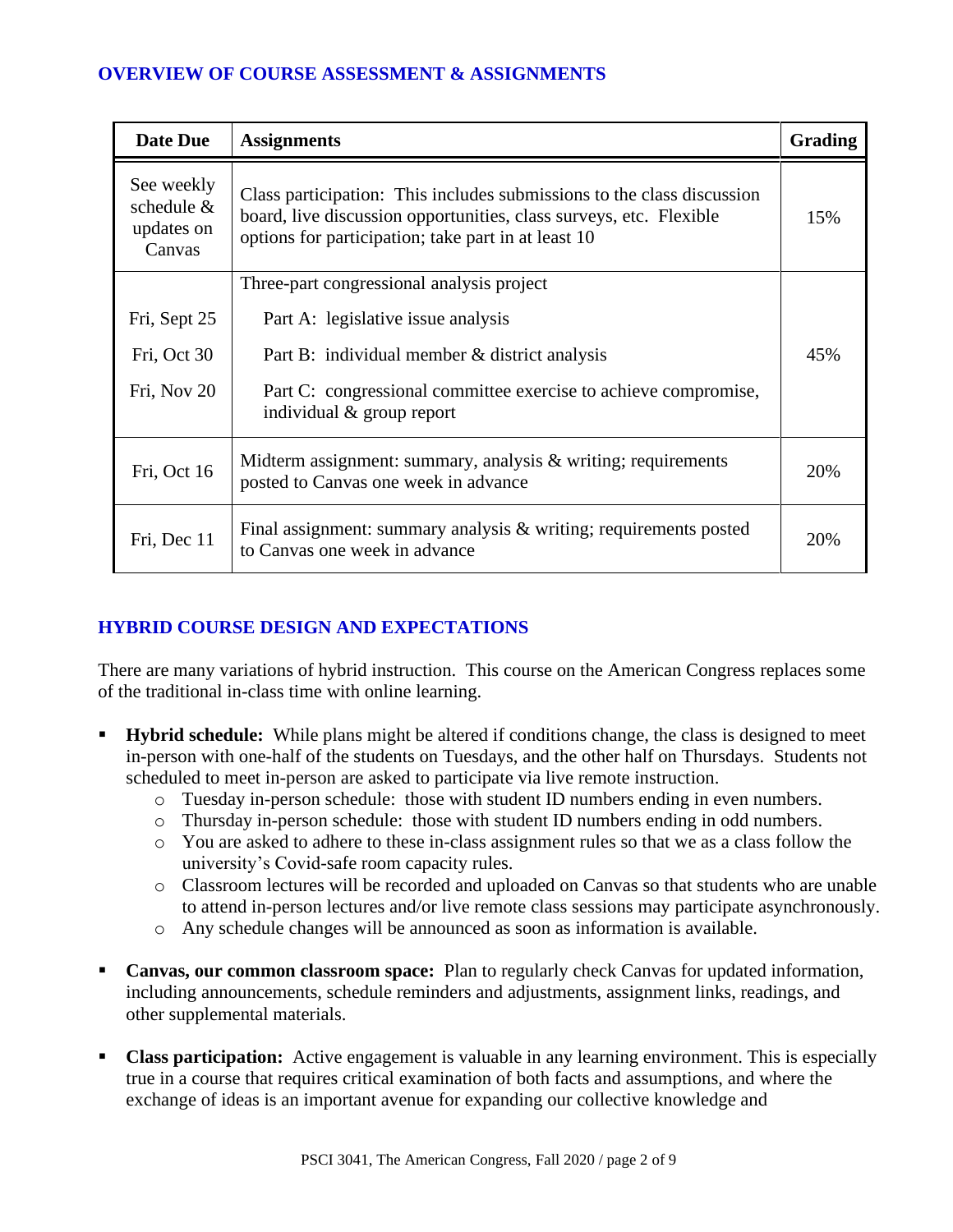### **OVERVIEW OF COURSE ASSESSMENT & ASSIGNMENTS**

| <b>Date Due</b>                                    | <b>Assignments</b>                                                                                                                                                                                  | <b>Grading</b> |
|----------------------------------------------------|-----------------------------------------------------------------------------------------------------------------------------------------------------------------------------------------------------|----------------|
| See weekly<br>schedule $&$<br>updates on<br>Canvas | Class participation: This includes submissions to the class discussion<br>board, live discussion opportunities, class surveys, etc. Flexible<br>options for participation; take part in at least 10 | 15%            |
|                                                    | Three-part congressional analysis project                                                                                                                                                           |                |
| Fri, Sept 25                                       | Part A: legislative issue analysis                                                                                                                                                                  |                |
| Fri, Oct 30                                        | Part B: individual member & district analysis                                                                                                                                                       | 45%            |
| Fri, Nov 20                                        | Part C: congressional committee exercise to achieve compromise,<br>individual & group report                                                                                                        |                |
| Fri, Oct 16                                        | Midterm assignment: summary, analysis $\&$ writing; requirements<br>posted to Canvas one week in advance                                                                                            | 20%            |
| Fri, Dec 11                                        | Final assignment: summary analysis $\&$ writing; requirements posted<br>to Canvas one week in advance                                                                                               | 20%            |

### **HYBRID COURSE DESIGN AND EXPECTATIONS**

There are many variations of hybrid instruction. This course on the American Congress replaces some of the traditional in-class time with online learning.

- **Hybrid schedule:** While plans might be altered if conditions change, the class is designed to meet in-person with one-half of the students on Tuesdays, and the other half on Thursdays. Students not scheduled to meet in-person are asked to participate via live remote instruction.
	- o Tuesday in-person schedule: those with student ID numbers ending in even numbers.
	- o Thursday in-person schedule: those with student ID numbers ending in odd numbers.
	- o You are asked to adhere to these in-class assignment rules so that we as a class follow the university's Covid-safe room capacity rules.
	- o Classroom lectures will be recorded and uploaded on Canvas so that students who are unable to attend in-person lectures and/or live remote class sessions may participate asynchronously.
	- o Any schedule changes will be announced as soon as information is available.
- **Canvas, our common classroom space:** Plan to regularly check Canvas for updated information, including announcements, schedule reminders and adjustments, assignment links, readings, and other supplemental materials.
- **Class participation:** Active engagement is valuable in any learning environment. This is especially true in a course that requires critical examination of both facts and assumptions, and where the exchange of ideas is an important avenue for expanding our collective knowledge and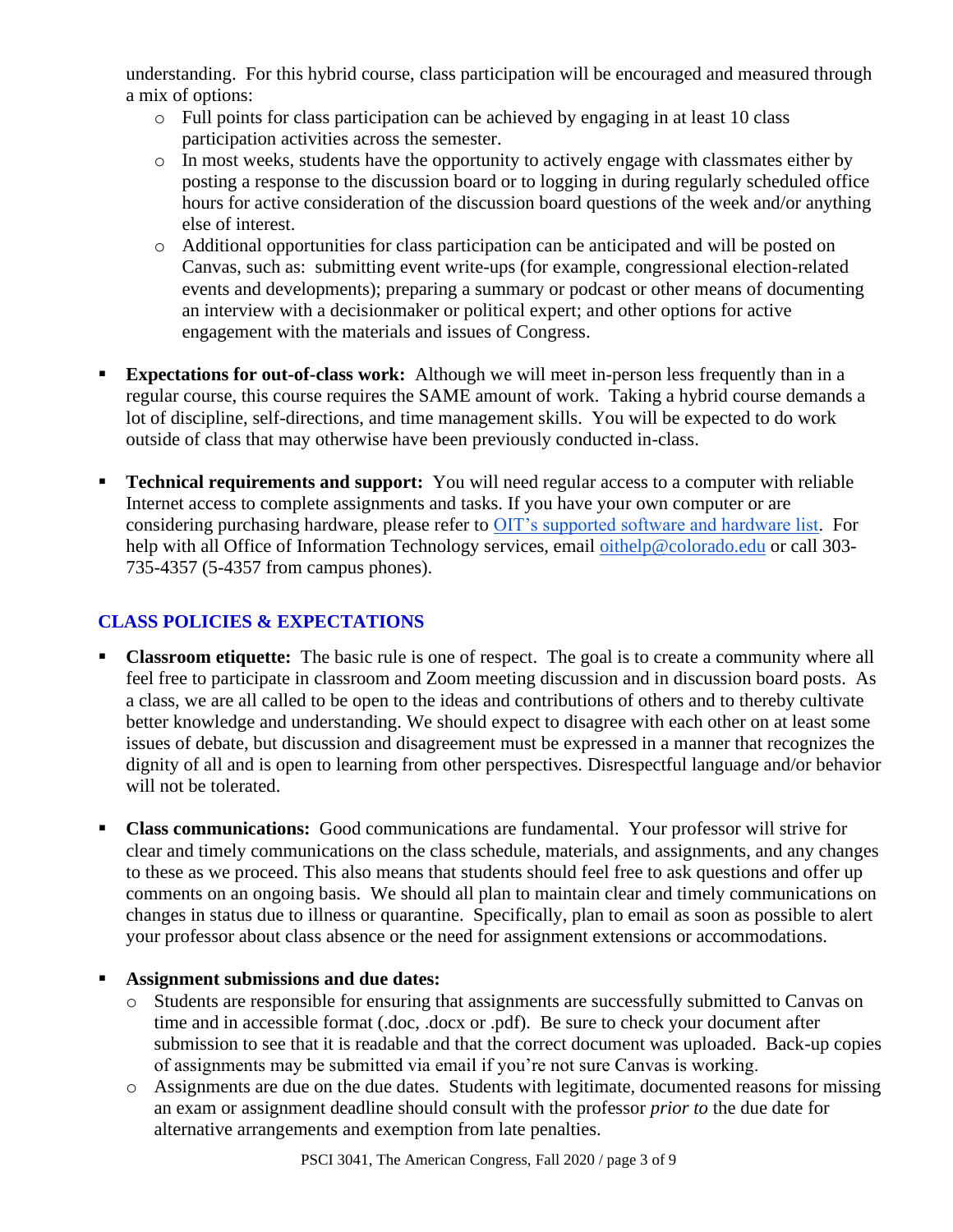understanding. For this hybrid course, class participation will be encouraged and measured through a mix of options:

- o Full points for class participation can be achieved by engaging in at least 10 class participation activities across the semester.
- o In most weeks, students have the opportunity to actively engage with classmates either by posting a response to the discussion board or to logging in during regularly scheduled office hours for active consideration of the discussion board questions of the week and/or anything else of interest.
- o Additional opportunities for class participation can be anticipated and will be posted on Canvas, such as: submitting event write-ups (for example, congressional election-related events and developments); preparing a summary or podcast or other means of documenting an interview with a decisionmaker or political expert; and other options for active engagement with the materials and issues of Congress.
- **Expectations for out-of-class work:** Although we will meet in-person less frequently than in a regular course, this course requires the SAME amount of work. Taking a hybrid course demands a lot of discipline, self-directions, and time management skills. You will be expected to do work outside of class that may otherwise have been previously conducted in-class.
- **Technical requirements and support:** You will need regular access to a computer with reliable Internet access to complete assignments and tasks. If you have your own computer or are considering purchasing hardware, please refer to [OIT's supported software and hardware list.](https://oit.colorado.edu/software-hardware/supported-software-hardware-list) For help with all Office of Information Technology services, email [oithelp@colorado.edu](mailto:oithelp@colorado.edu) or call 303-735-4357 (5-4357 from campus phones).

## **CLASS POLICIES & EXPECTATIONS**

- **Classroom etiquette:** The basic rule is one of respect. The goal is to create a community where all feel free to participate in classroom and Zoom meeting discussion and in discussion board posts. As a class, we are all called to be open to the ideas and contributions of others and to thereby cultivate better knowledge and understanding. We should expect to disagree with each other on at least some issues of debate, but discussion and disagreement must be expressed in a manner that recognizes the dignity of all and is open to learning from other perspectives. Disrespectful language and/or behavior will not be tolerated.
- **Class communications:** Good communications are fundamental. Your professor will strive for clear and timely communications on the class schedule, materials, and assignments, and any changes to these as we proceed. This also means that students should feel free to ask questions and offer up comments on an ongoing basis. We should all plan to maintain clear and timely communications on changes in status due to illness or quarantine. Specifically, plan to email as soon as possible to alert your professor about class absence or the need for assignment extensions or accommodations.

### ▪ **Assignment submissions and due dates:**

- o Students are responsible for ensuring that assignments are successfully submitted to Canvas on time and in accessible format (.doc, .docx or .pdf). Be sure to check your document after submission to see that it is readable and that the correct document was uploaded. Back-up copies of assignments may be submitted via email if you're not sure Canvas is working.
- o Assignments are due on the due dates. Students with legitimate, documented reasons for missing an exam or assignment deadline should consult with the professor *prior to* the due date for alternative arrangements and exemption from late penalties.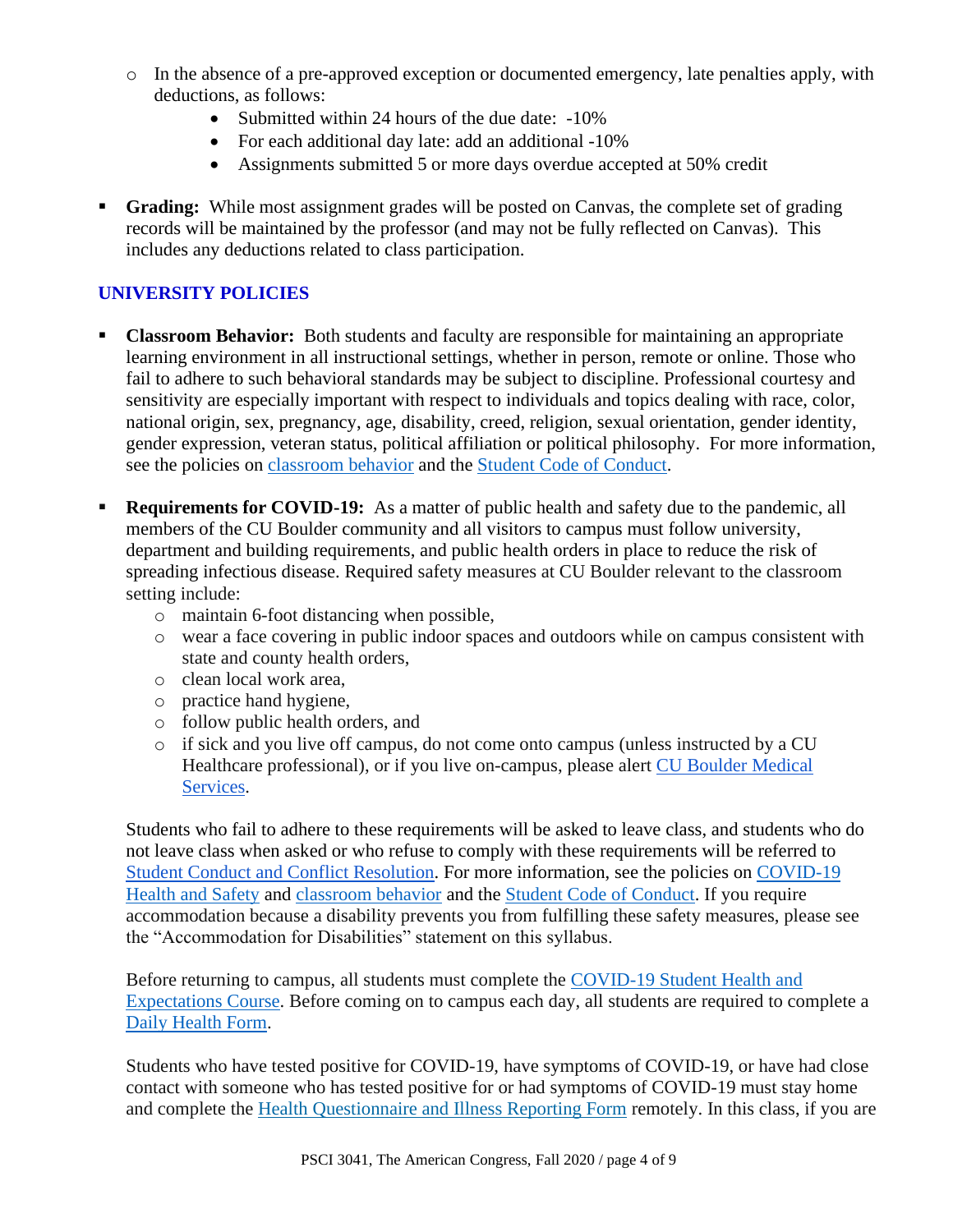- o In the absence of a pre-approved exception or documented emergency, late penalties apply, with deductions, as follows:
	- Submitted within 24 hours of the due date: -10%
	- For each additional day late: add an additional -10%
	- Assignments submitted 5 or more days overdue accepted at 50% credit
- **Grading:** While most assignment grades will be posted on Canvas, the complete set of grading records will be maintained by the professor (and may not be fully reflected on Canvas). This includes any deductions related to class participation.

### **UNIVERSITY POLICIES**

- **Classroom Behavior:** Both students and faculty are responsible for maintaining an appropriate learning environment in all instructional settings, whether in person, remote or online. Those who fail to adhere to such behavioral standards may be subject to discipline. Professional courtesy and sensitivity are especially important with respect to individuals and topics dealing with race, color, national origin, sex, pregnancy, age, disability, creed, religion, sexual orientation, gender identity, gender expression, veteran status, political affiliation or political philosophy. For more information, see the policies on [classroom behavior](http://www.colorado.edu/policies/student-classroom-and-course-related-behavior) and the [Student Code of Conduct.](https://www.colorado.edu/sccr/sites/default/files/attached-files/2019-2020_student_code_of_conduct_0.pdf)
- **Requirements for COVID-19:** As a matter of public health and safety due to the pandemic, all members of the CU Boulder community and all visitors to campus must follow university, department and building requirements, and public health orders in place to reduce the risk of spreading infectious disease. Required safety measures at CU Boulder relevant to the classroom setting include:
	- o maintain 6-foot distancing when possible,
	- o wear a face covering in public indoor spaces and outdoors while on campus consistent with state and county health orders,
	- o clean local work area,
	- o practice hand hygiene,
	- o follow public health orders, and
	- o if sick and you live off campus, do not come onto campus (unless instructed by a CU Healthcare professional), or if you live on-campus, please alert [CU Boulder Medical](https://www.colorado.edu/healthcenter/coronavirus-updates/symptoms-and-what-do-if-you-feel-sick)  [Services.](https://www.colorado.edu/healthcenter/coronavirus-updates/symptoms-and-what-do-if-you-feel-sick)

Students who fail to adhere to these requirements will be asked to leave class, and students who do not leave class when asked or who refuse to comply with these requirements will be referred to [Student Conduct and Conflict Resolution.](https://www.colorado.edu/sccr/) For more information, see the policies on [COVID-19](https://www.colorado.edu/policies/covid-19-health-and-safety-policy)  [Health and Safety](https://www.colorado.edu/policies/covid-19-health-and-safety-policy) and [classroom behavior](http://www.colorado.edu/policies/student-classroom-and-course-related-behavior) and the [Student Code of Conduct.](http://www.colorado.edu/osccr/) If you require accommodation because a disability prevents you from fulfilling these safety measures, please see the "Accommodation for Disabilities" statement on this syllabus.

Before returning to campus, all students must complete the [COVID-19 Student Health and](https://www.colorado.edu/protect-our-herd/how#anchor1)  [Expectations Course.](https://www.colorado.edu/protect-our-herd/how#anchor1) Before coming on to campus each day, all students are required to complete a [Daily Health Form.](https://www.colorado.edu/protect-our-herd/daily-health-form)

Students who have tested positive for COVID-19, have symptoms of COVID-19, or have had close contact with someone who has tested positive for or had symptoms of COVID-19 must stay home and complete the [Health Questionnaire and Illness Reporting Form](https://www.colorado.edu/protect-our-herd/daily-health-form) remotely. In this class, if you are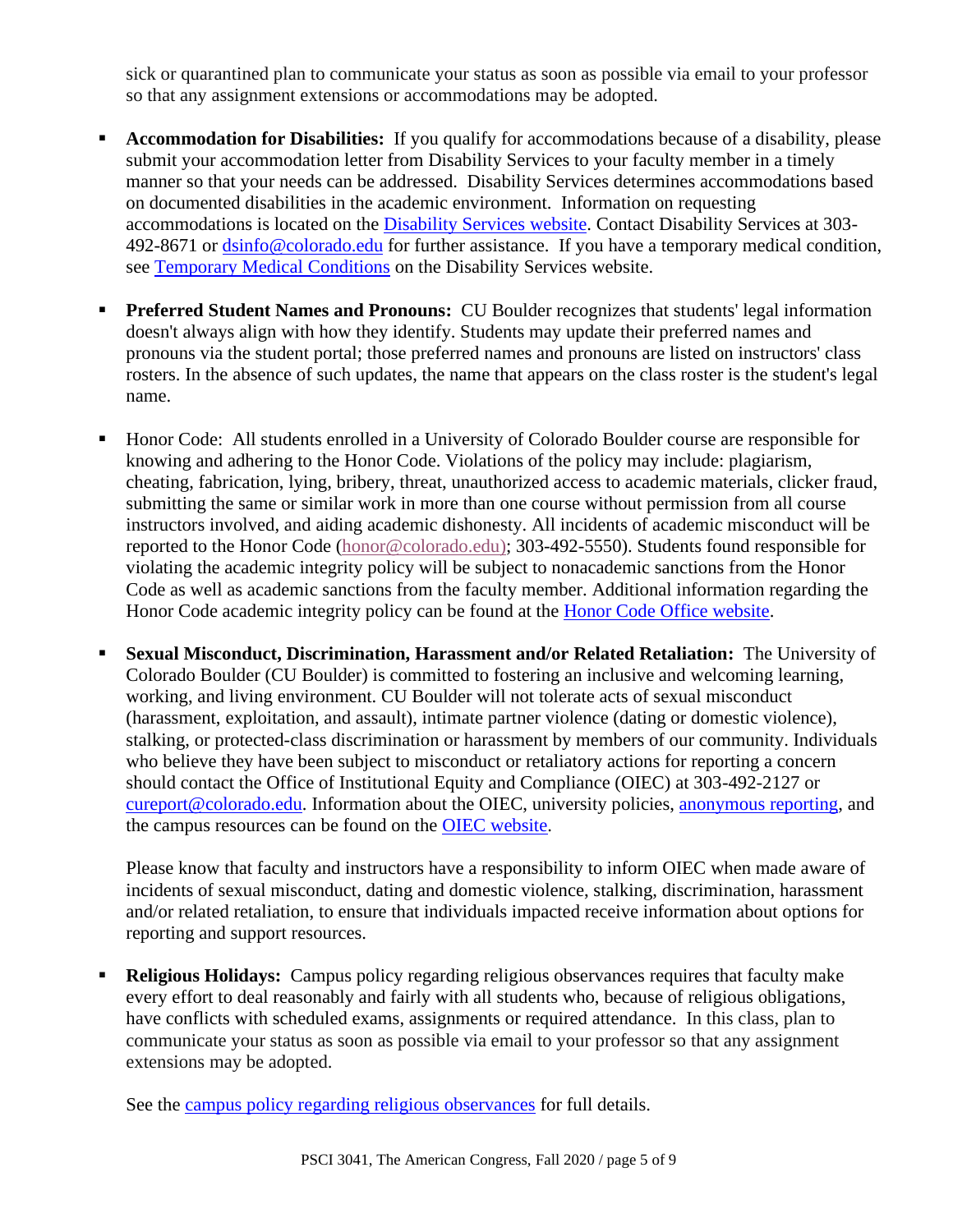sick or quarantined plan to communicate your status as soon as possible via email to your professor so that any assignment extensions or accommodations may be adopted.

- Accommodation for Disabilities: If you qualify for accommodations because of a disability, please submit your accommodation letter from Disability Services to your faculty member in a timely manner so that your needs can be addressed. Disability Services determines accommodations based on documented disabilities in the academic environment. Information on requesting accommodations is located on the [Disability Services website.](https://www.colorado.edu/disabilityservices/) Contact Disability Services at 303- 492-8671 or [dsinfo@colorado.edu](mailto:dsinfo@colorado.edu) for further assistance. If you have a temporary medical condition, see [Temporary Medical Conditions](http://www.colorado.edu/disabilityservices/students/temporary-medical-conditions) on the Disability Services website.
- **Preferred Student Names and Pronouns:** CU Boulder recognizes that students' legal information doesn't always align with how they identify. Students may update their preferred names and pronouns via the student portal; those preferred names and pronouns are listed on instructors' class rosters. In the absence of such updates, the name that appears on the class roster is the student's legal name.
- Honor Code: All students enrolled in a University of Colorado Boulder course are responsible for knowing and adhering to the Honor Code. Violations of the policy may include: plagiarism, cheating, fabrication, lying, bribery, threat, unauthorized access to academic materials, clicker fraud, submitting the same or similar work in more than one course without permission from all course instructors involved, and aiding academic dishonesty. All incidents of academic misconduct will be reported to the Honor Code [\(honor@colorado.edu\)](mailto:honor@colorado.edu); 303-492-5550). Students found responsible for violating the academic integrity policy will be subject to nonacademic sanctions from the Honor Code as well as academic sanctions from the faculty member. Additional information regarding the Honor Code academic integrity policy can be found at the [Honor Code Office website.](https://www.colorado.edu/osccr/honor-code)
- **Sexual Misconduct, Discrimination, Harassment and/or Related Retaliation:** The University of Colorado Boulder (CU Boulder) is committed to fostering an inclusive and welcoming learning, working, and living environment. CU Boulder will not tolerate acts of sexual misconduct (harassment, exploitation, and assault), intimate partner violence (dating or domestic violence), stalking, or protected-class discrimination or harassment by members of our community. Individuals who believe they have been subject to misconduct or retaliatory actions for reporting a concern should contact the Office of Institutional Equity and Compliance (OIEC) at 303-492-2127 or [cureport@colorado.edu.](mailto:cureport@colorado.edu) Information about the OIEC, university policies, [anonymous reporting,](https://cuboulder.qualtrics.com/jfe/form/SV_0PnqVK4kkIJIZnf) and the campus resources can be found on the [OIEC website.](http://www.colorado.edu/institutionalequity/)

Please know that faculty and instructors have a responsibility to inform OIEC when made aware of incidents of sexual misconduct, dating and domestic violence, stalking, discrimination, harassment and/or related retaliation, to ensure that individuals impacted receive information about options for reporting and support resources.

**Religious Holidays:** Campus policy regarding religious observances requires that faculty make every effort to deal reasonably and fairly with all students who, because of religious obligations, have conflicts with scheduled exams, assignments or required attendance. In this class, plan to communicate your status as soon as possible via email to your professor so that any assignment extensions may be adopted.

See the [campus policy regarding religious observances](http://www.colorado.edu/policies/observance-religious-holidays-and-absences-classes-andor-exams) for full details.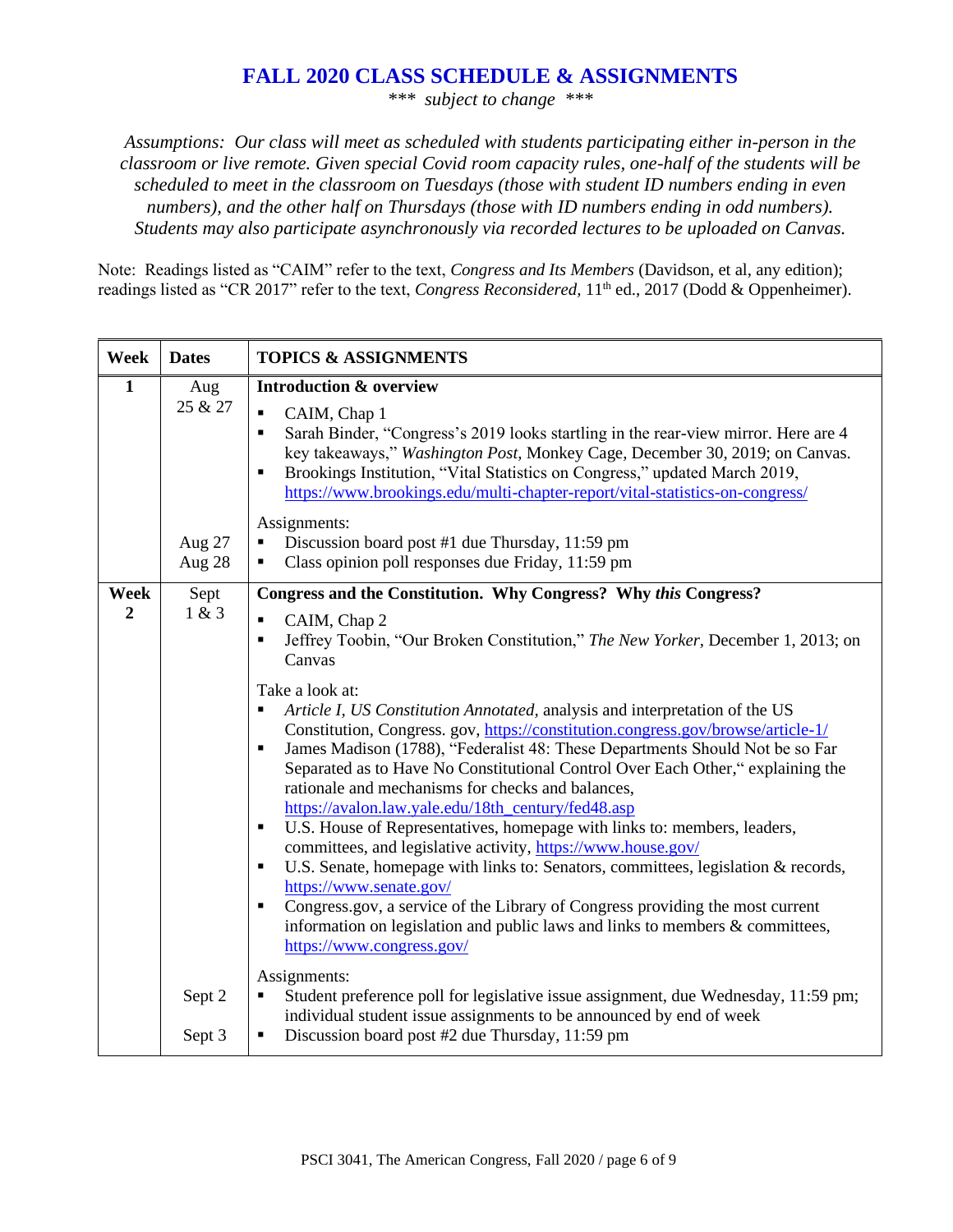### **FALL 2020 CLASS SCHEDULE & ASSIGNMENTS**

*\*\*\* subject to change \*\*\**

*Assumptions: Our class will meet as scheduled with students participating either in-person in the classroom or live remote. Given special Covid room capacity rules, one-half of the students will be scheduled to meet in the classroom on Tuesdays (those with student ID numbers ending in even numbers), and the other half on Thursdays (those with ID numbers ending in odd numbers). Students may also participate asynchronously via recorded lectures to be uploaded on Canvas.*

Note: Readings listed as "CAIM" refer to the text, *Congress and Its Members* (Davidson, et al, any edition); readings listed as "CR 2017" refer to the text, *Congress Reconsidered*, 11<sup>th</sup> ed., 2017 (Dodd & Oppenheimer).

| Week                   | <b>Dates</b>     | <b>TOPICS &amp; ASSIGNMENTS</b>                                                                                                                                                                                                                                                                                                                                                                                                                                                                                                                                                                                                                                                                                                                                                                                                                                                                                                                                                                                                                                                                                                                                                                                    |
|------------------------|------------------|--------------------------------------------------------------------------------------------------------------------------------------------------------------------------------------------------------------------------------------------------------------------------------------------------------------------------------------------------------------------------------------------------------------------------------------------------------------------------------------------------------------------------------------------------------------------------------------------------------------------------------------------------------------------------------------------------------------------------------------------------------------------------------------------------------------------------------------------------------------------------------------------------------------------------------------------------------------------------------------------------------------------------------------------------------------------------------------------------------------------------------------------------------------------------------------------------------------------|
| $\mathbf{1}$           | Aug<br>25 & 27   | <b>Introduction &amp; overview</b><br>$\blacksquare$<br>CAIM, Chap 1<br>Sarah Binder, "Congress's 2019 looks startling in the rear-view mirror. Here are 4<br>$\blacksquare$<br>key takeaways," Washington Post, Monkey Cage, December 30, 2019; on Canvas.<br>Brookings Institution, "Vital Statistics on Congress," updated March 2019,<br>٠<br>https://www.brookings.edu/multi-chapter-report/vital-statistics-on-congress/                                                                                                                                                                                                                                                                                                                                                                                                                                                                                                                                                                                                                                                                                                                                                                                     |
|                        | Aug 27<br>Aug 28 | Assignments:<br>Discussion board post #1 due Thursday, 11:59 pm<br>$\blacksquare$<br>Class opinion poll responses due Friday, 11:59 pm<br>٠                                                                                                                                                                                                                                                                                                                                                                                                                                                                                                                                                                                                                                                                                                                                                                                                                                                                                                                                                                                                                                                                        |
| Week<br>$\overline{2}$ | Sept<br>1 & 3    | Congress and the Constitution. Why Congress? Why this Congress?<br>CAIM, Chap 2<br>$\blacksquare$<br>Jeffrey Toobin, "Our Broken Constitution," The New Yorker, December 1, 2013; on<br>$\blacksquare$<br>Canvas<br>Take a look at:<br>Article I, US Constitution Annotated, analysis and interpretation of the US<br>٠<br>Constitution, Congress. gov, https://constitution.congress.gov/browse/article-1/<br>James Madison (1788), "Federalist 48: These Departments Should Not be so Far<br>$\blacksquare$<br>Separated as to Have No Constitutional Control Over Each Other," explaining the<br>rationale and mechanisms for checks and balances,<br>https://avalon.law.yale.edu/18th_century/fed48.asp<br>U.S. House of Representatives, homepage with links to: members, leaders,<br>$\blacksquare$<br>committees, and legislative activity, https://www.house.gov/<br>U.S. Senate, homepage with links to: Senators, committees, legislation & records,<br>п<br>https://www.senate.gov/<br>Congress.gov, a service of the Library of Congress providing the most current<br>$\blacksquare$<br>information on legislation and public laws and links to members $\&$ committees,<br>https://www.congress.gov/ |
|                        | Sept 2<br>Sept 3 | Assignments:<br>Student preference poll for legislative issue assignment, due Wednesday, 11:59 pm;<br>٠<br>individual student issue assignments to be announced by end of week<br>Discussion board post #2 due Thursday, 11:59 pm<br>$\blacksquare$                                                                                                                                                                                                                                                                                                                                                                                                                                                                                                                                                                                                                                                                                                                                                                                                                                                                                                                                                                |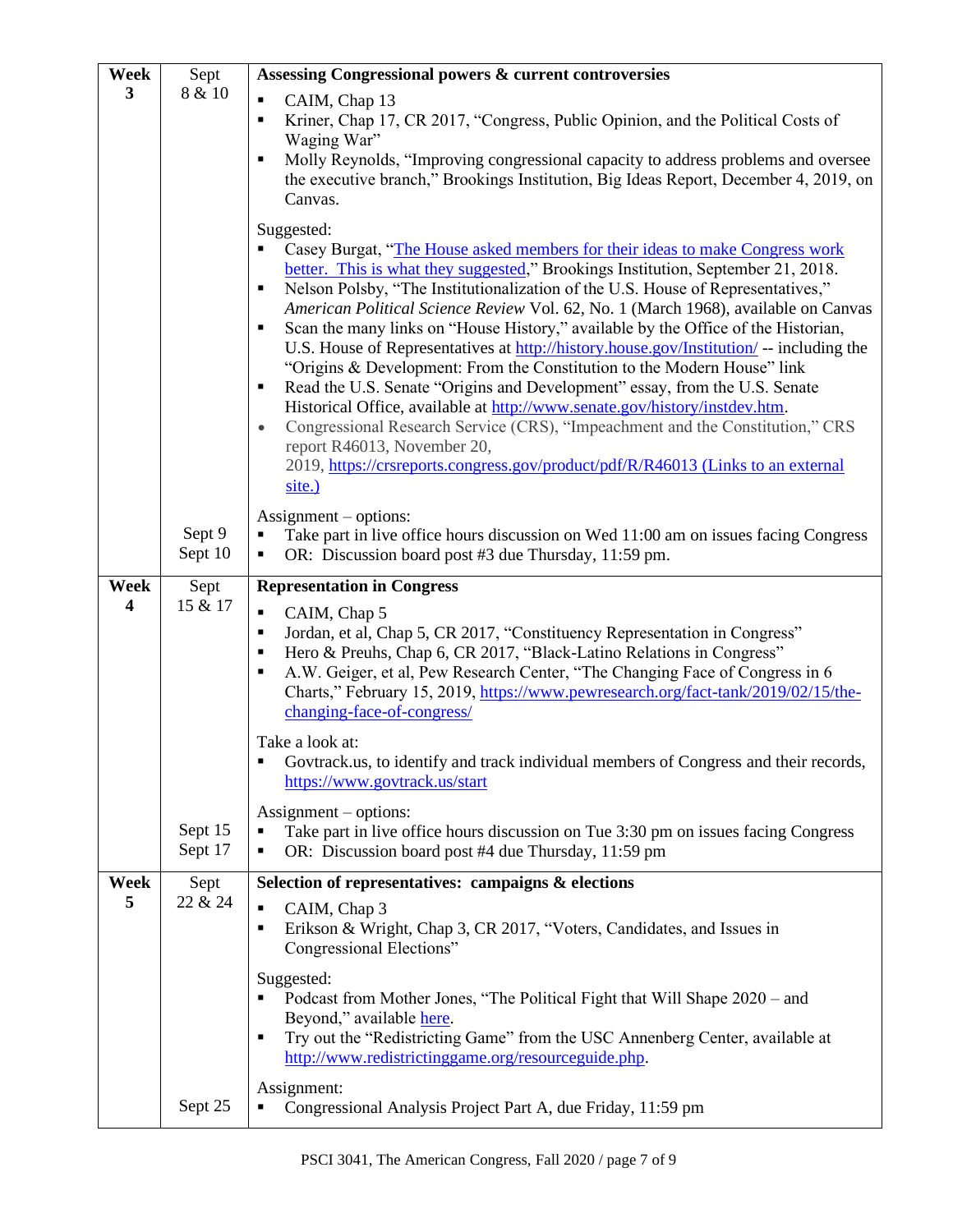| Week             | Sept               | Assessing Congressional powers & current controversies                                                                                                                                                                                                                                                                                                                                                                                                                                                                                                                                                                                                                                                                                                                                                                                                                                                                                                                                                                  |
|------------------|--------------------|-------------------------------------------------------------------------------------------------------------------------------------------------------------------------------------------------------------------------------------------------------------------------------------------------------------------------------------------------------------------------------------------------------------------------------------------------------------------------------------------------------------------------------------------------------------------------------------------------------------------------------------------------------------------------------------------------------------------------------------------------------------------------------------------------------------------------------------------------------------------------------------------------------------------------------------------------------------------------------------------------------------------------|
| 3                | 8 & 10             | $\blacksquare$<br>CAIM, Chap 13<br>Kriner, Chap 17, CR 2017, "Congress, Public Opinion, and the Political Costs of<br>П<br>Waging War"<br>Molly Reynolds, "Improving congressional capacity to address problems and oversee<br>$\blacksquare$<br>the executive branch," Brookings Institution, Big Ideas Report, December 4, 2019, on<br>Canvas.<br>Suggested:                                                                                                                                                                                                                                                                                                                                                                                                                                                                                                                                                                                                                                                          |
|                  |                    | Casey Burgat, "The House asked members for their ideas to make Congress work<br>better. This is what they suggested," Brookings Institution, September 21, 2018.<br>Nelson Polsby, "The Institutionalization of the U.S. House of Representatives,"<br>п<br>American Political Science Review Vol. 62, No. 1 (March 1968), available on Canvas<br>Scan the many links on "House History," available by the Office of the Historian,<br>$\blacksquare$<br>U.S. House of Representatives at http://history.house.gov/Institution/ -- including the<br>"Origins & Development: From the Constitution to the Modern House" link<br>Read the U.S. Senate "Origins and Development" essay, from the U.S. Senate<br>٠<br>Historical Office, available at http://www.senate.gov/history/instdev.htm.<br>Congressional Research Service (CRS), "Impeachment and the Constitution," CRS<br>$\bullet$<br>report R46013, November 20,<br>2019, https://crsreports.congress.gov/product/pdf/R/R46013 (Links to an external<br>site.) |
|                  | Sept 9<br>Sept 10  | $\text{Assignment} - \text{options:}$<br>Take part in live office hours discussion on Wed 11:00 am on issues facing Congress<br>OR: Discussion board post #3 due Thursday, 11:59 pm.<br>٠                                                                                                                                                                                                                                                                                                                                                                                                                                                                                                                                                                                                                                                                                                                                                                                                                               |
| <b>Week</b><br>4 | Sept<br>15 & 17    | <b>Representation in Congress</b><br>$\blacksquare$<br>CAIM, Chap 5<br>Jordan, et al, Chap 5, CR 2017, "Constituency Representation in Congress"<br>$\blacksquare$<br>Hero & Preuhs, Chap 6, CR 2017, "Black-Latino Relations in Congress"<br>п<br>A.W. Geiger, et al, Pew Research Center, "The Changing Face of Congress in 6<br>$\blacksquare$<br>Charts," February 15, 2019, https://www.pewresearch.org/fact-tank/2019/02/15/the-<br>changing-face-of-congress/                                                                                                                                                                                                                                                                                                                                                                                                                                                                                                                                                    |
|                  |                    | Take a look at:<br>Govtrack.us, to identify and track individual members of Congress and their records,<br>https://www.govtrack.us/start                                                                                                                                                                                                                                                                                                                                                                                                                                                                                                                                                                                                                                                                                                                                                                                                                                                                                |
|                  | Sept 15<br>Sept 17 | $\text{Assignment} - \text{options}:$<br>Take part in live office hours discussion on Tue 3:30 pm on issues facing Congress<br>$\blacksquare$<br>OR: Discussion board post #4 due Thursday, 11:59 pm                                                                                                                                                                                                                                                                                                                                                                                                                                                                                                                                                                                                                                                                                                                                                                                                                    |
| Week<br>5        | Sept<br>22 & 24    | Selection of representatives: campaigns & elections                                                                                                                                                                                                                                                                                                                                                                                                                                                                                                                                                                                                                                                                                                                                                                                                                                                                                                                                                                     |
|                  |                    | CAIM, Chap 3<br>$\blacksquare$<br>Erikson & Wright, Chap 3, CR 2017, "Voters, Candidates, and Issues in<br>$\blacksquare$<br>Congressional Elections"                                                                                                                                                                                                                                                                                                                                                                                                                                                                                                                                                                                                                                                                                                                                                                                                                                                                   |
|                  |                    | Suggested:<br>Podcast from Mother Jones, "The Political Fight that Will Shape 2020 – and<br>٠<br>Beyond," available here.<br>Try out the "Redistricting Game" from the USC Annenberg Center, available at<br>$\blacksquare$<br>http://www.redistrictinggame.org/resourceguide.php.                                                                                                                                                                                                                                                                                                                                                                                                                                                                                                                                                                                                                                                                                                                                      |
|                  | Sept 25            | Assignment:<br>Congressional Analysis Project Part A, due Friday, 11:59 pm                                                                                                                                                                                                                                                                                                                                                                                                                                                                                                                                                                                                                                                                                                                                                                                                                                                                                                                                              |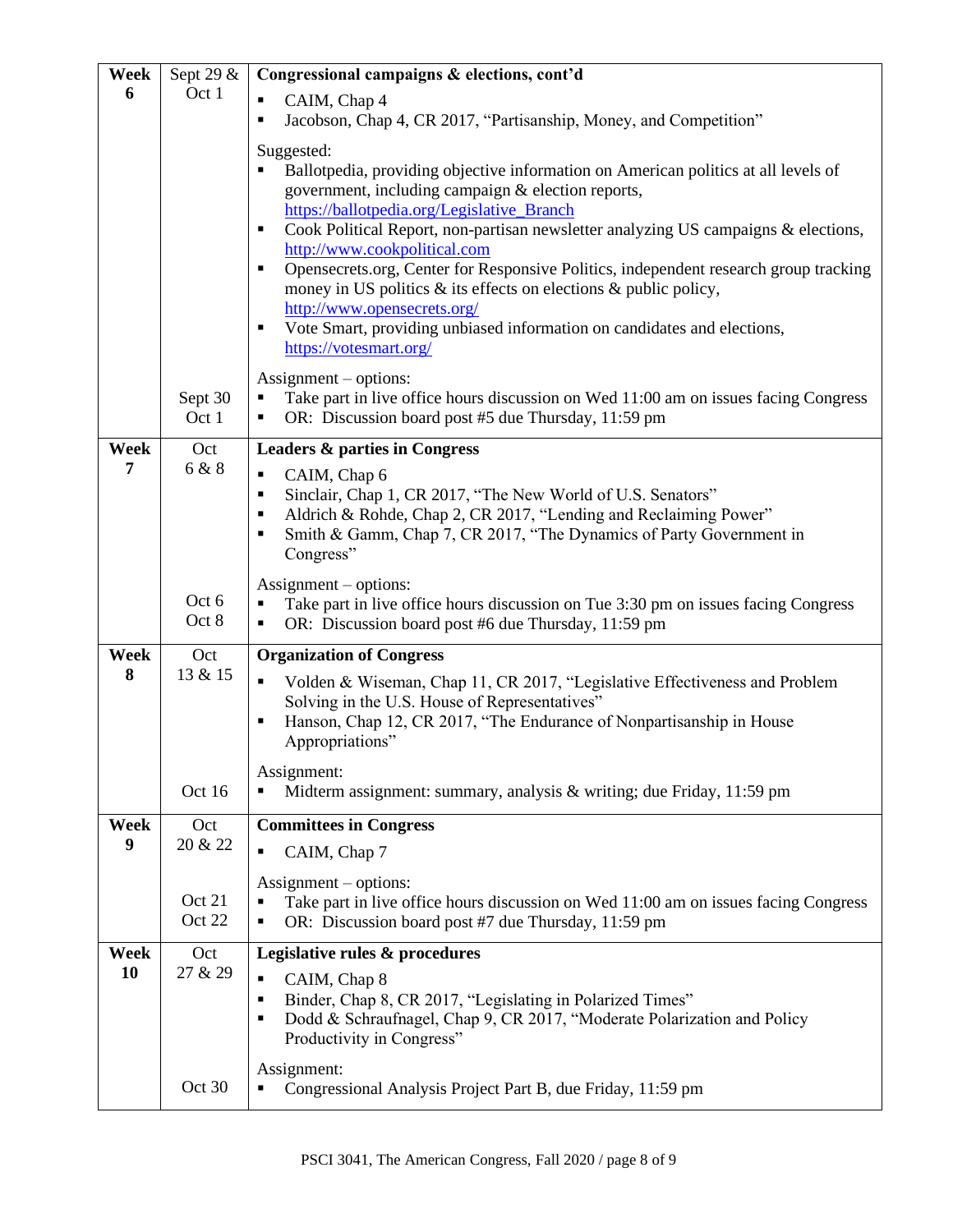| Week        | Sept 29 &      | Congressional campaigns & elections, cont'd                                                                                                         |
|-------------|----------------|-----------------------------------------------------------------------------------------------------------------------------------------------------|
| 6           | Oct 1          | CAIM, Chap 4<br>٠                                                                                                                                   |
|             |                | Jacobson, Chap 4, CR 2017, "Partisanship, Money, and Competition"<br>$\blacksquare$                                                                 |
|             |                | Suggested:                                                                                                                                          |
|             |                | Ballotpedia, providing objective information on American politics at all levels of<br>government, including campaign & election reports,            |
|             |                | https://ballotpedia.org/Legislative Branch                                                                                                          |
|             |                | Cook Political Report, non-partisan newsletter analyzing US campaigns & elections,<br>٠                                                             |
|             |                | http://www.cookpolitical.com<br>Opensecrets.org, Center for Responsive Politics, independent research group tracking<br>$\blacksquare$              |
|             |                | money in US politics $\&$ its effects on elections $\&$ public policy,                                                                              |
|             |                | http://www.opensecrets.org/                                                                                                                         |
|             |                | Vote Smart, providing unbiased information on candidates and elections,<br>$\blacksquare$<br>https://votesmart.org/                                 |
|             |                |                                                                                                                                                     |
|             | Sept 30        | $\text{Assignment}-\text{options}:$<br>Take part in live office hours discussion on Wed 11:00 am on issues facing Congress                          |
|             | Oct 1          | OR: Discussion board post #5 due Thursday, 11:59 pm<br>٠                                                                                            |
| <b>Week</b> | Oct            | <b>Leaders &amp; parties in Congress</b>                                                                                                            |
| 7           | 6 & 8          | CAIM, Chap 6<br>$\blacksquare$                                                                                                                      |
|             |                | Sinclair, Chap 1, CR 2017, "The New World of U.S. Senators"<br>٠<br>Aldrich & Rohde, Chap 2, CR 2017, "Lending and Reclaiming Power"<br>٠           |
|             |                | Smith & Gamm, Chap 7, CR 2017, "The Dynamics of Party Government in<br>٠                                                                            |
|             |                | Congress"                                                                                                                                           |
|             |                | $\text{Assignment}-\text{options}:$                                                                                                                 |
|             | Oct 6<br>Oct 8 | Take part in live office hours discussion on Tue 3:30 pm on issues facing Congress<br>п<br>OR: Discussion board post #6 due Thursday, 11:59 pm<br>П |
| Week        | Oct            | <b>Organization of Congress</b>                                                                                                                     |
| 8           | 13 & 15        | Volden & Wiseman, Chap 11, CR 2017, "Legislative Effectiveness and Problem<br>$\blacksquare$                                                        |
|             |                | Solving in the U.S. House of Representatives"                                                                                                       |
|             |                | Hanson, Chap 12, CR 2017, "The Endurance of Nonpartisanship in House<br>п                                                                           |
|             |                | Appropriations"                                                                                                                                     |
|             | Oct 16         | Assignment:<br>Midterm assignment: summary, analysis $&$ writing; due Friday, 11:59 pm                                                              |
|             |                |                                                                                                                                                     |
| Week<br>9   | Oct<br>20 & 22 | <b>Committees in Congress</b>                                                                                                                       |
|             |                | CAIM, Chap 7<br>٠                                                                                                                                   |
|             | Oct 21         | $\text{Assignment}-\text{options}:$<br>Take part in live office hours discussion on Wed 11:00 am on issues facing Congress                          |
|             | Oct 22         | OR: Discussion board post #7 due Thursday, 11:59 pm                                                                                                 |
| Week        | Oct            | Legislative rules & procedures                                                                                                                      |
| 10          | 27 & 29        | CAIM, Chap 8<br>$\blacksquare$                                                                                                                      |
|             |                | Binder, Chap 8, CR 2017, "Legislating in Polarized Times"<br>$\blacksquare$<br>$\blacksquare$                                                       |
|             |                | Dodd & Schraufnagel, Chap 9, CR 2017, "Moderate Polarization and Policy<br>Productivity in Congress"                                                |
|             |                | Assignment:                                                                                                                                         |
|             | Oct 30         | Congressional Analysis Project Part B, due Friday, 11:59 pm                                                                                         |